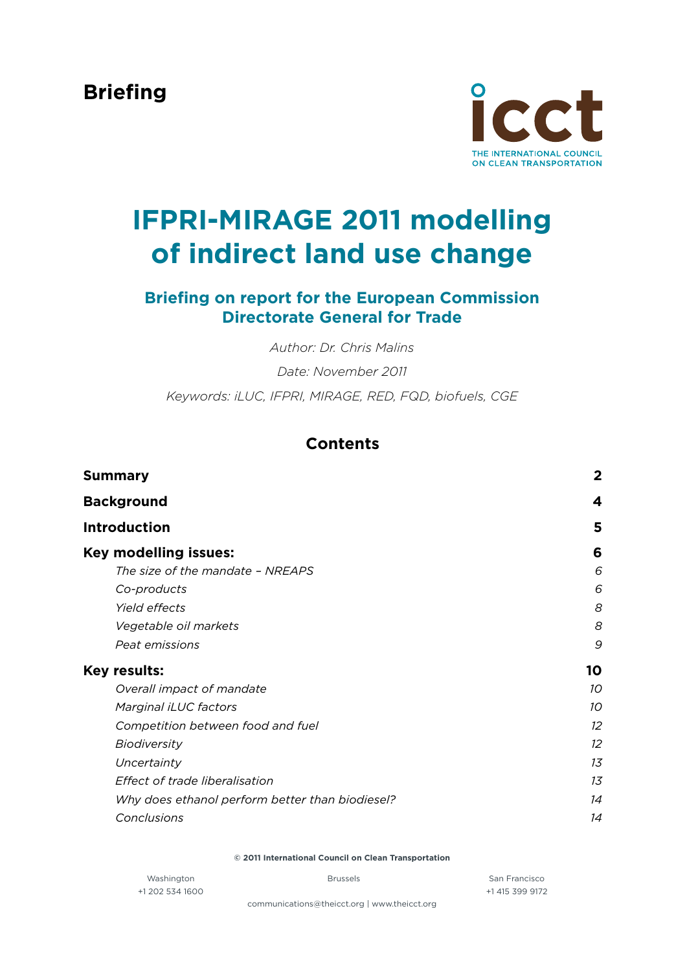**Briefing**



# **IFPRI-MIRAGE 2011 modelling of indirect land use change**

# **Briefing on report for the European Commission Directorate General for Trade**

*Author: Dr. Chris Malins*

*Date: November 2011*

*Keywords: iLUC, IFPRI, MIRAGE, RED, FQD, biofuels, CGE*

# **Contents**

| Summary                                         | $\mathbf{2}$ |
|-------------------------------------------------|--------------|
| <b>Background</b>                               | 4            |
| <b>Introduction</b>                             | 5            |
| <b>Key modelling issues:</b>                    | 6            |
| The size of the mandate - NREAPS                | 6            |
| Co-products                                     | 6            |
| Yield effects                                   | 8            |
| Vegetable oil markets                           | 8            |
| Peat emissions                                  | 9            |
| Key results:                                    | 10           |
| Overall impact of mandate                       | 10           |
| Marginal iLUC factors                           | 10           |
| Competition between food and fuel               | 12           |
| <b>Biodiversity</b>                             | 12           |
| Uncertainty                                     | 13           |
| Effect of trade liberalisation                  | 13           |
| Why does ethanol perform better than biodiesel? | 14           |
| Conclusions                                     | 14           |
|                                                 |              |

**© 2011 International Council on Clean Transportation**

Washington **San Francisco** Brussels **San Francisco** San Francisco +1 202 534 1600 +1 415 399 9172

[communications@theicct.org](mailto:communications@theicct.org) | [www.theicct.org](http://www.theicct.org)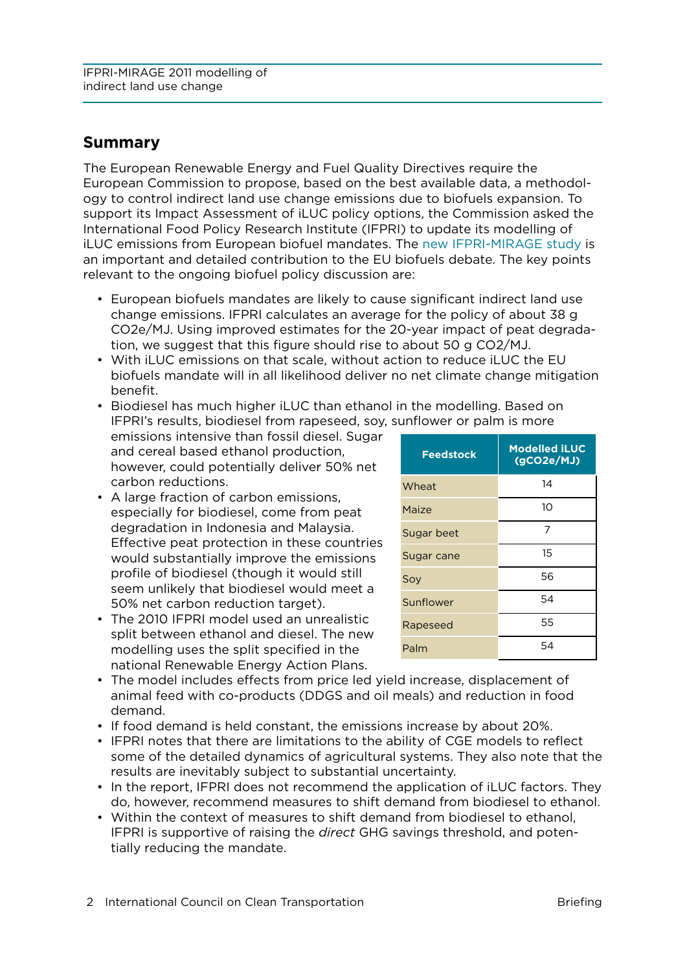# <span id="page-1-0"></span>**Summary**

The European Renewable Energy and Fuel Quality Directives require the European Commission to propose, based on the best available data, a methodology to control indirect land use change emissions due to biofuels expansion. To support its Impact Assessment of iLUC policy options, the Commission asked the International Food Policy Research Institute (IFPRI) to update its modelling of iLUC emissions from European biofuel mandates. The [new IFPRI-MIRAGE study](http://www.theicct.org/2011/10/new-ifpri-mirage-iluc-study-released-by-european-commission/) is an important and detailed contribution to the EU biofuels debate. The key points relevant to the ongoing biofuel policy discussion are:

- • European biofuels mandates are likely to cause significant indirect land use change emissions. IFPRI calculates an average for the policy of about 38 g CO2e/MJ. Using improved estimates for the 20-year impact of peat degradation, we suggest that this figure should rise to about 50 g CO2/MJ.
- • With iLUC emissions on that scale, without action to reduce iLUC the EU biofuels mandate will in all likelihood deliver no net climate change mitigation benefit.

• Biodiesel has much higher iLUC than ethanol in the modelling. Based on IFPRI's results, biodiesel from rapeseed, soy, sunflower or palm is more

emissions intensive than fossil diesel. Sugar and cereal based ethanol production, however, could potentially deliver 50% net carbon reductions.

- A large fraction of carbon emissions, especially for biodiesel, come from peat degradation in Indonesia and Malaysia. Effective peat protection in these countries would substantially improve the emissions profile of biodiesel (though it would still seem unlikely that biodiesel would meet a 50% net carbon reduction target).
- The 2010 IFPRI model used an unrealistic split between ethanol and diesel. The new modelling uses the split specified in the national Renewable Energy Action Plans.

| <b>Feedstock</b> | <b>Modelled iLUC</b><br>(GCO2e/MJ) |
|------------------|------------------------------------|
| Wheat            | 14                                 |
| Maize            | 10                                 |
| Sugar beet       | 7                                  |
| Sugar cane       | 15                                 |
| Soy              | 56                                 |
| Sunflower        | 54                                 |
| Rapeseed         | 55                                 |
| Palm             | 54                                 |

- • The model includes effects from price led yield increase, displacement of animal feed with co-products (DDGS and oil meals) and reduction in food demand.
- • If food demand is held constant, the emissions increase by about 20%.
- • IFPRI notes that there are limitations to the ability of CGE models to reflect some of the detailed dynamics of agricultural systems. They also note that the results are inevitably subject to substantial uncertainty.
- In the report, IFPRI does not recommend the application of iLUC factors. They do, however, recommend measures to shift demand from biodiesel to ethanol.
- • Within the context of measures to shift demand from biodiesel to ethanol, IFPRI is supportive of raising the *direct* GHG savings threshold, and potentially reducing the mandate.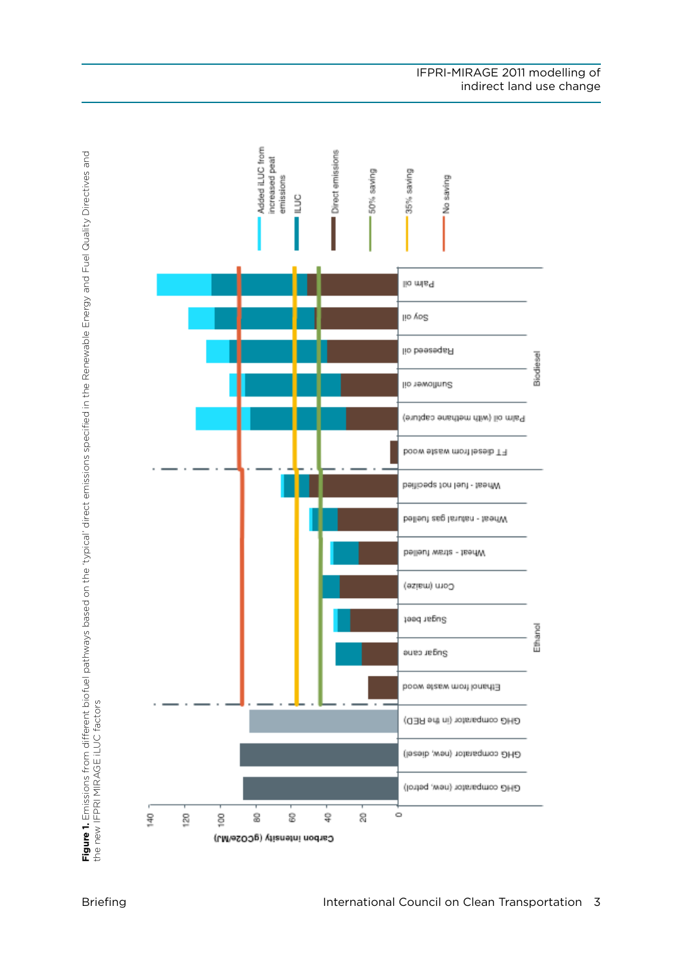

**Figure 1.** Emissions from different biofuel pathways based on the 'typical' direct emissions specified in the Renewable Energy and Fuel Quality Directives and<br>the new IFPRI MIRAGE iLUC factors **Figure 1.** Emissions from different biofuel pathways based on the 'typical' direct emissions specified in the Renewable Energy and Fuel Quality Directives and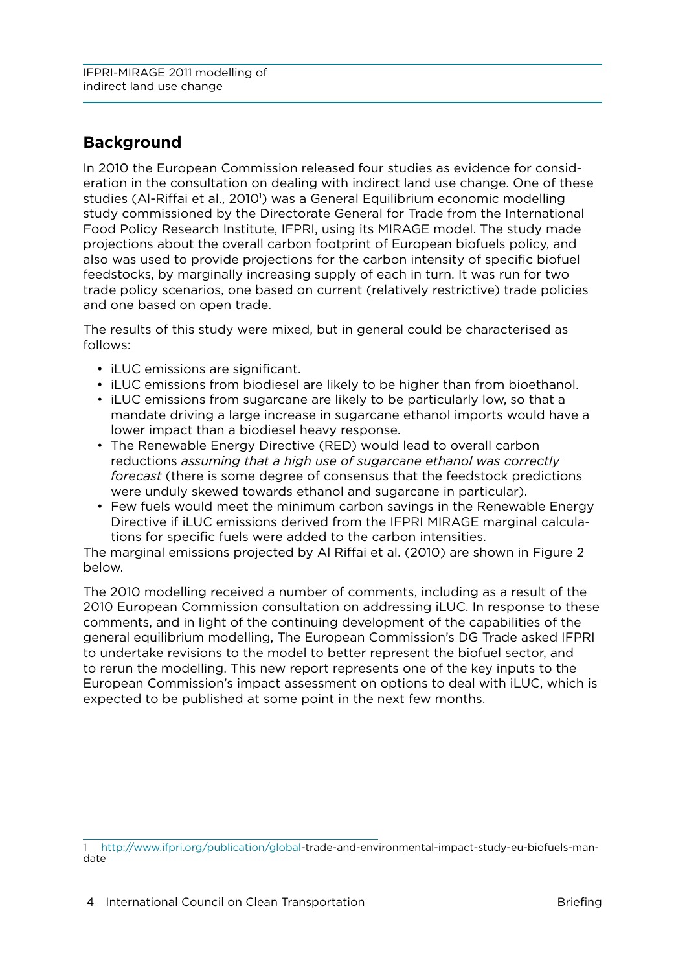# <span id="page-3-0"></span>**Background**

In 2010 the European Commission released four studies as evidence for consideration in the consultation on dealing with indirect land use change. One of these studies (Al-Riffai et al., 2010<sup>'</sup>) was a General Equilibrium economic modelling study commissioned by the Directorate General for Trade from the International Food Policy Research Institute, IFPRI, using its MIRAGE model. The study made projections about the overall carbon footprint of European biofuels policy, and also was used to provide projections for the carbon intensity of specific biofuel feedstocks, by marginally increasing supply of each in turn. It was run for two trade policy scenarios, one based on current (relatively restrictive) trade policies and one based on open trade.

The results of this study were mixed, but in general could be characterised as follows:

- iLUC emissions are significant.
- iLUC emissions from biodiesel are likely to be higher than from bioethanol.
- iLUC emissions from sugarcane are likely to be particularly low, so that a mandate driving a large increase in sugarcane ethanol imports would have a lower impact than a biodiesel heavy response.
- The Renewable Energy Directive (RED) would lead to overall carbon reductions *assuming that a high use of sugarcane ethanol was correctly forecast* (there is some degree of consensus that the feedstock predictions were unduly skewed towards ethanol and sugarcane in particular).
- Few fuels would meet the minimum carbon savings in the Renewable Energy Directive if iLUC emissions derived from the IFPRI MIRAGE marginal calculations for specific fuels were added to the carbon intensities.

The marginal emissions projected by Al Riffai et al. (2010) are shown in [Figure 2](#page-4-1)  [below](#page-4-1).

The 2010 modelling received a number of comments, including as a result of the 2010 European Commission consultation on addressing iLUC. In response to these comments, and in light of the continuing development of the capabilities of the general equilibrium modelling, The European Commission's DG Trade asked IFPRI to undertake revisions to the model to better represent the biofuel sector, and to rerun the modelling. This new report represents one of the key inputs to the European Commission's impact assessment on options to deal with iLUC, which is expected to be published at some point in the next few months.

<sup>1</sup> <http://www.ifpri.org/publication/global>-trade-and-environmental-impact-study-eu-biofuels-mandate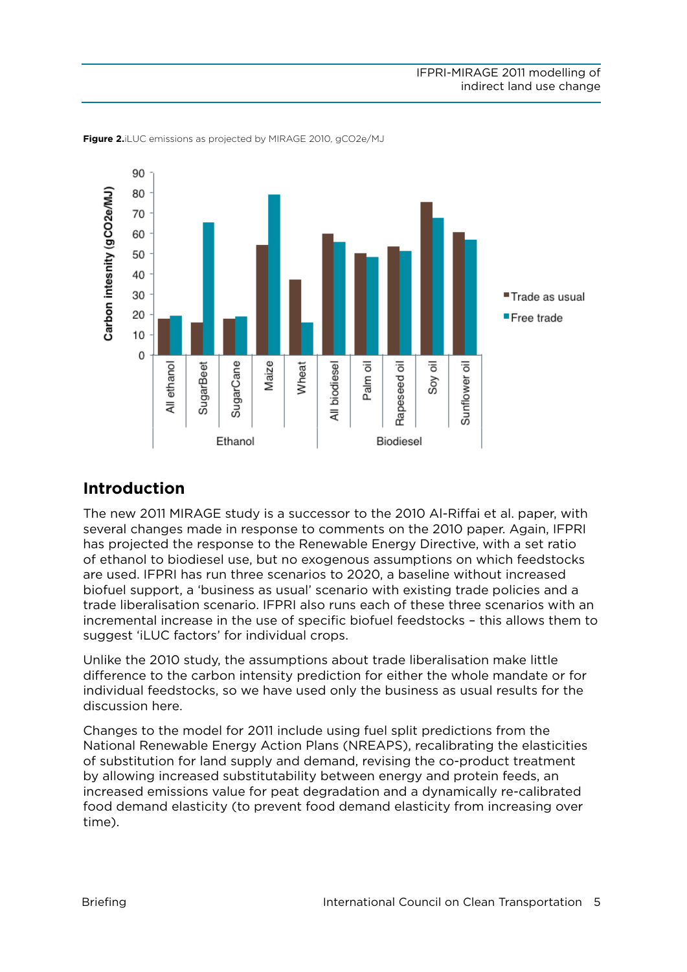

<span id="page-4-1"></span><span id="page-4-0"></span>**Figure 2.**iLUC emissions as projected by MIRAGE 2010, gCO2e/MJ

# **Introduction**

The new 2011 MIRAGE study is a successor to the 2010 Al-Riffai et al. paper, with several changes made in response to comments on the 2010 paper. Again, IFPRI has projected the response to the Renewable Energy Directive, with a set ratio of ethanol to biodiesel use, but no exogenous assumptions on which feedstocks are used. IFPRI has run three scenarios to 2020, a baseline without increased biofuel support, a 'business as usual' scenario with existing trade policies and a trade liberalisation scenario. IFPRI also runs each of these three scenarios with an incremental increase in the use of specific biofuel feedstocks – this allows them to suggest 'iLUC factors' for individual crops.

Unlike the 2010 study, the assumptions about trade liberalisation make little difference to the carbon intensity prediction for either the whole mandate or for individual feedstocks, so we have used only the business as usual results for the discussion here.

Changes to the model for 2011 include using fuel split predictions from the National Renewable Energy Action Plans (NREAPS), recalibrating the elasticities of substitution for land supply and demand, revising the co-product treatment by allowing increased substitutability between energy and protein feeds, an increased emissions value for peat degradation and a dynamically re-calibrated food demand elasticity (to prevent food demand elasticity from increasing over time).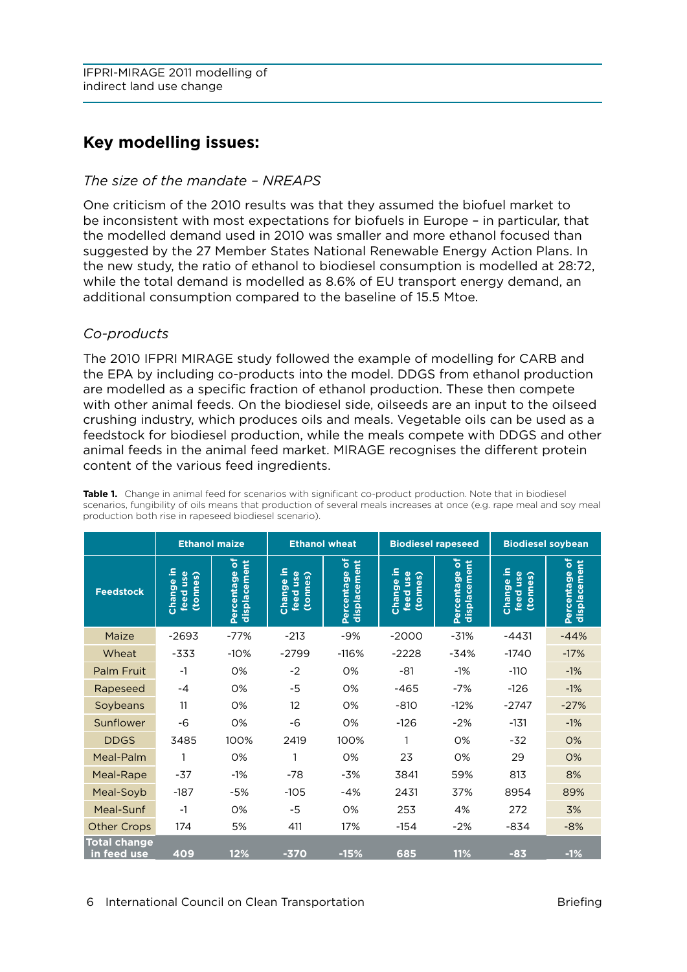# <span id="page-5-0"></span>**Key modelling issues:**

## *The size of the mandate – NREAPS*

One criticism of the 2010 results was that they assumed the biofuel market to be inconsistent with most expectations for biofuels in Europe – in particular, that the modelled demand used in 2010 was smaller and more ethanol focused than suggested by the 27 Member States National Renewable Energy Action Plans. In the new study, the ratio of ethanol to biodiesel consumption is modelled at 28:72, while the total demand is modelled as 8.6% of EU transport energy demand, an additional consumption compared to the baseline of 15.5 Mtoe.

## *Co-products*

The 2010 IFPRI MIRAGE study followed the example of modelling for CARB and the EPA by including co-products into the model. DDGS from ethanol production are modelled as a specific fraction of ethanol production. These then compete with other animal feeds. On the biodiesel side, oilseeds are an input to the oilseed crushing industry, which produces oils and meals. Vegetable oils can be used as a feedstock for biodiesel production, while the meals compete with DDGS and other animal feeds in the animal feed market. MIRAGE recognises the different protein content of the various feed ingredients.

|                                    | <b>Ethanol maize</b>                |                                 | <b>Ethanol wheat</b>                       |                                 | <b>Biodiesel rapeseed</b>         |                                 | <b>Biodiesel soybean</b>            |                                  |
|------------------------------------|-------------------------------------|---------------------------------|--------------------------------------------|---------------------------------|-----------------------------------|---------------------------------|-------------------------------------|----------------------------------|
| <b>Feedstock</b>                   | 으<br>feed use<br>(tonnes)<br>Change | ৳<br>displacement<br>Percentage | <u>ء</u><br>(tonnes)<br>feed use<br>Change | ৽<br>displacement<br>Percentage | Change in<br>feed use<br>(tonnes) | ৳<br>displacement<br>Percentage | 요<br>feed use<br>(tonnes)<br>Change | ەّ<br>displacement<br>Percentage |
| Maize                              | $-2693$                             | $-77%$                          | $-213$                                     | $-9%$                           | $-2000$                           | $-31%$                          | $-4431$                             | $-44%$                           |
| Wheat                              | -333                                | $-10%$                          | $-2799$                                    | $-116%$                         | $-2228$                           | $-34%$                          | $-1740$                             | $-17%$                           |
| Palm Fruit                         | $-1$                                | 0%                              | $-2$                                       | 0%                              | $-81$                             | $-1%$                           | $-110$                              | $-1%$                            |
| Rapeseed                           | $-4$                                | 0%                              | -5                                         | 0%                              | $-465$                            | $-7%$                           | $-126$                              | $-1%$                            |
| Soybeans                           | 11                                  | 0%                              | 12                                         | 0%                              | $-810$                            | $-12%$                          | $-2747$                             | $-27%$                           |
| Sunflower                          | -6                                  | 0%                              | -6                                         | 0%                              | $-126$                            | $-2%$                           | $-131$                              | $-1%$                            |
| <b>DDGS</b>                        | 3485                                | 100%                            | 2419                                       | 100%                            |                                   | 0%                              | $-32$                               | 0%                               |
| Meal-Palm                          | 1                                   | 0%                              | 1                                          | 0%                              | 23                                | 0%                              | 29                                  | 0%                               |
| Meal-Rape                          | -37                                 | $-1%$                           | $-78$                                      | $-3%$                           | 3841                              | 59%                             | 813                                 | 8%                               |
| Meal-Soyb                          | $-187$                              | -5%                             | $-105$                                     | $-4%$                           | 2431                              | 37%                             | 8954                                | 89%                              |
| Meal-Sunf                          | $-1$                                | 0%                              | -5                                         | 0%                              | 253                               | 4%                              | 272                                 | 3%                               |
| <b>Other Crops</b>                 | 174                                 | 5%                              | 411                                        | 17%                             | $-154$                            | $-2%$                           | $-834$                              | $-8%$                            |
| <b>Total change</b><br>in feed use | 409                                 | 12%                             | $-370$                                     | $-15%$                          | 685                               | 11%                             | $-83$                               | $-1%$                            |

**Table 1.** Change in animal feed for scenarios with significant co-product production. Note that in biodiesel scenarios, fungibility of oils means that production of several meals increases at once (e.g. rape meal and soy meal production both rise in rapeseed biodiesel scenario).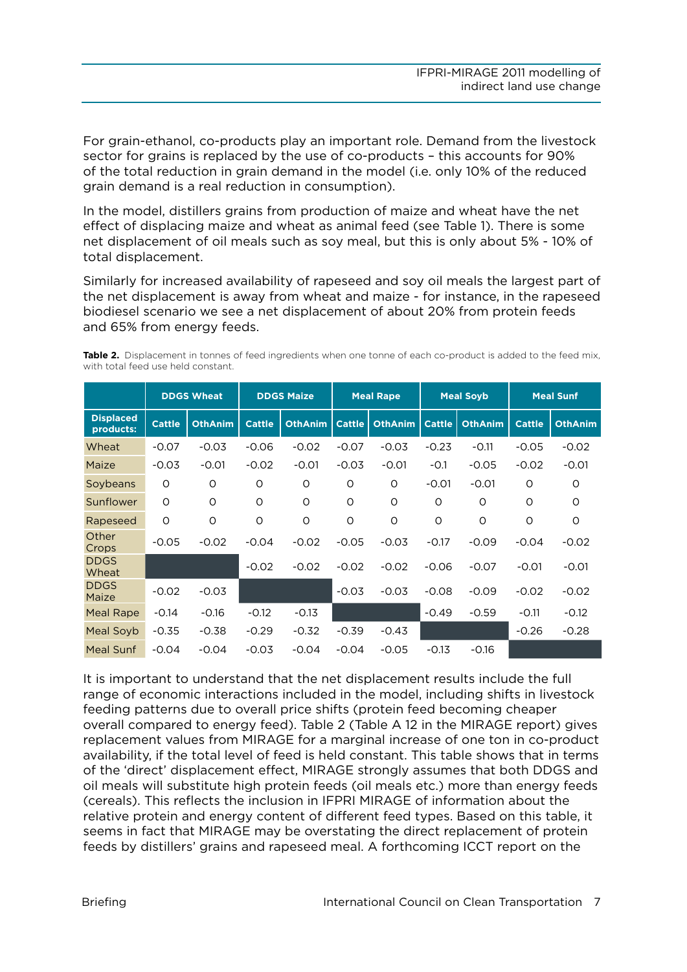For grain-ethanol, co-products play an important role. Demand from the livestock sector for grains is replaced by the use of co-products – this accounts for 90% of the total reduction in grain demand in the model (i.e. only 10% of the reduced grain demand is a real reduction in consumption).

In the model, distillers grains from production of maize and wheat have the net effect of displacing maize and wheat as animal feed (see Table 1). There is some net displacement of oil meals such as soy meal, but this is only about 5% - 10% of total displacement.

Similarly for increased availability of rapeseed and soy oil meals the largest part of the net displacement is away from wheat and maize - for instance, in the rapeseed biodiesel scenario we see a net displacement of about 20% from protein feeds and 65% from energy feeds.

**Table 2.** Displacement in tonnes of feed ingredients when one tonne of each co-product is added to the feed mix, with total feed use held constant.

|                               | <b>DDGS Wheat</b> |                | <b>DDGS Maize</b> |                | <b>Meal Rape</b> |                | <b>Meal Soyb</b> |                | <b>Meal Sunf</b> |                |
|-------------------------------|-------------------|----------------|-------------------|----------------|------------------|----------------|------------------|----------------|------------------|----------------|
| <b>Displaced</b><br>products: | <b>Cattle</b>     | <b>OthAnim</b> | <b>Cattle</b>     | <b>OthAnim</b> | <b>Cattle</b>    | <b>OthAnim</b> | <b>Cattle</b>    | <b>OthAnim</b> | <b>Cattle</b>    | <b>OthAnim</b> |
| Wheat                         | $-0.07$           | $-0.03$        | $-0.06$           | $-0.02$        | $-0.07$          | $-0.03$        | $-0.23$          | $-0.11$        | $-0.05$          | $-0.02$        |
| Maize                         | $-0.03$           | $-0.01$        | $-0.02$           | $-0.01$        | $-0.03$          | $-0.01$        | $-0.1$           | $-0.05$        | $-0.02$          | $-0.01$        |
| Soybeans                      | O                 | O              | O                 | O              | O                | $\circ$        | $-0.01$          | $-0.01$        | $\circ$          | O              |
| Sunflower                     | O                 | $\circ$        | $\circ$           | O              | O                | $\circ$        | O                | $\circ$        | $\circ$          | $\Omega$       |
| Rapeseed                      | $\circ$           | $\circ$        | $\circ$           | $\circ$        | O                | O              | O                | O              | $\circ$          | O              |
| Other<br>Crops                | $-0.05$           | $-0.02$        | $-0.04$           | $-0.02$        | $-0.05$          | $-0.03$        | $-0.17$          | $-0.09$        | $-0.04$          | $-0.02$        |
| <b>DDGS</b><br>Wheat          |                   |                | $-0.02$           | $-0.02$        | $-0.02$          | $-0.02$        | $-0.06$          | $-0.07$        | $-0.01$          | $-0.01$        |
| <b>DDGS</b><br>Maize          | $-0.02$           | $-0.03$        |                   |                | $-0.03$          | $-0.03$        | $-0.08$          | $-0.09$        | $-0.02$          | $-0.02$        |
| Meal Rape                     | $-0.14$           | $-0.16$        | $-0.12$           | $-0.13$        |                  |                | $-0.49$          | $-0.59$        | $-0.11$          | $-0.12$        |
| Meal Soyb                     | $-0.35$           | $-0.38$        | $-0.29$           | $-0.32$        | $-0.39$          | $-0.43$        |                  |                | $-0.26$          | $-0.28$        |
| Meal Sunf                     | $-0.04$           | $-0.04$        | $-0.03$           | $-0.04$        | $-0.04$          | $-0.05$        | $-0.13$          | $-0.16$        |                  |                |

It is important to understand that the net displacement results include the full range of economic interactions included in the model, including shifts in livestock feeding patterns due to overall price shifts (protein feed becoming cheaper overall compared to energy feed). Table 2 (Table A 12 in the MIRAGE report) gives replacement values from MIRAGE for a marginal increase of one ton in co-product availability, if the total level of feed is held constant. This table shows that in terms of the 'direct' displacement effect, MIRAGE strongly assumes that both DDGS and oil meals will substitute high protein feeds (oil meals etc.) more than energy feeds (cereals). This reflects the inclusion in IFPRI MIRAGE of information about the relative protein and energy content of different feed types. Based on this table, it seems in fact that MIRAGE may be overstating the direct replacement of protein feeds by distillers' grains and rapeseed meal. A forthcoming ICCT report on the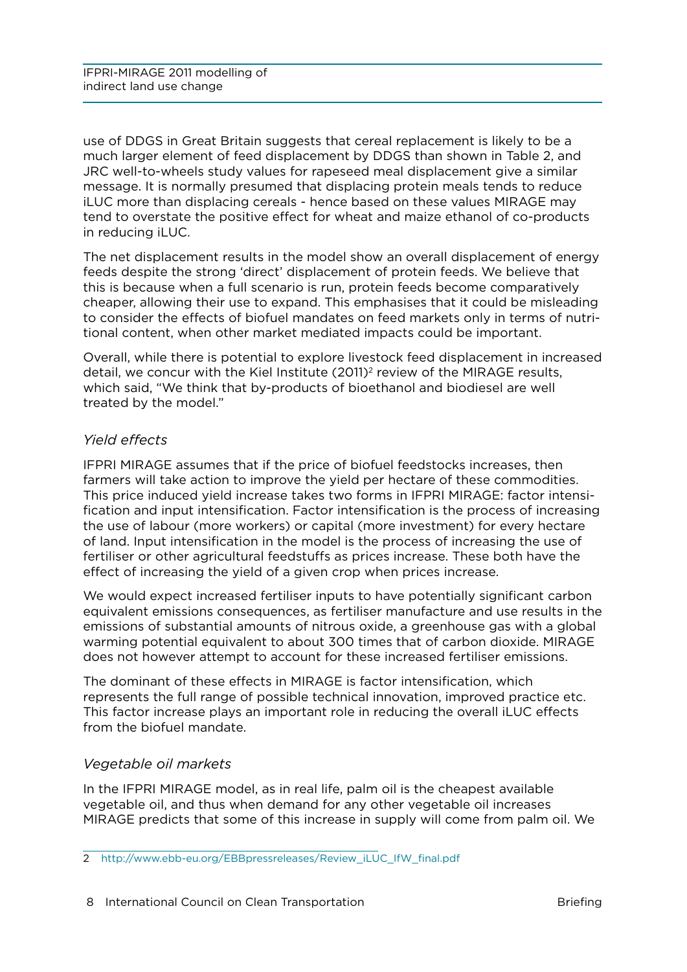<span id="page-7-0"></span>use of DDGS in Great Britain suggests that cereal replacement is likely to be a much larger element of feed displacement by DDGS than shown in Table 2, and JRC well-to-wheels study values for rapeseed meal displacement give a similar message. It is normally presumed that displacing protein meals tends to reduce iLUC more than displacing cereals - hence based on these values MIRAGE may tend to overstate the positive effect for wheat and maize ethanol of co-products in reducing iLUC.

The net displacement results in the model show an overall displacement of energy feeds despite the strong 'direct' displacement of protein feeds. We believe that this is because when a full scenario is run, protein feeds become comparatively cheaper, allowing their use to expand. This emphasises that it could be misleading to consider the effects of biofuel mandates on feed markets only in terms of nutritional content, when other market mediated impacts could be important.

Overall, while there is potential to explore livestock feed displacement in increased detail, we concur with the Kiel Institute (2011)<sup>2</sup> review of the MIRAGE results, which said, "We think that by-products of bioethanol and biodiesel are well treated by the model."

# *Yield effects*

IFPRI MIRAGE assumes that if the price of biofuel feedstocks increases, then farmers will take action to improve the yield per hectare of these commodities. This price induced yield increase takes two forms in IFPRI MIRAGE: factor intensification and input intensification. Factor intensification is the process of increasing the use of labour (more workers) or capital (more investment) for every hectare of land. Input intensification in the model is the process of increasing the use of fertiliser or other agricultural feedstuffs as prices increase. These both have the effect of increasing the yield of a given crop when prices increase.

We would expect increased fertiliser inputs to have potentially significant carbon equivalent emissions consequences, as fertiliser manufacture and use results in the emissions of substantial amounts of nitrous oxide, a greenhouse gas with a global warming potential equivalent to about 300 times that of carbon dioxide. MIRAGE does not however attempt to account for these increased fertiliser emissions.

The dominant of these effects in MIRAGE is factor intensification, which represents the full range of possible technical innovation, improved practice etc. This factor increase plays an important role in reducing the overall iLUC effects from the biofuel mandate.

# *Vegetable oil markets*

In the IFPRI MIRAGE model, as in real life, palm oil is the cheapest available vegetable oil, and thus when demand for any other vegetable oil increases MIRAGE predicts that some of this increase in supply will come from palm oil. We

<sup>2</sup> [http://www.ebb-eu.org/EBBpressreleases/Review\\_iLUC\\_IfW\\_final.pdf](http://www.ebb-eu.org/EBBpressreleases/Review_iLUC_IfW_final.pdf)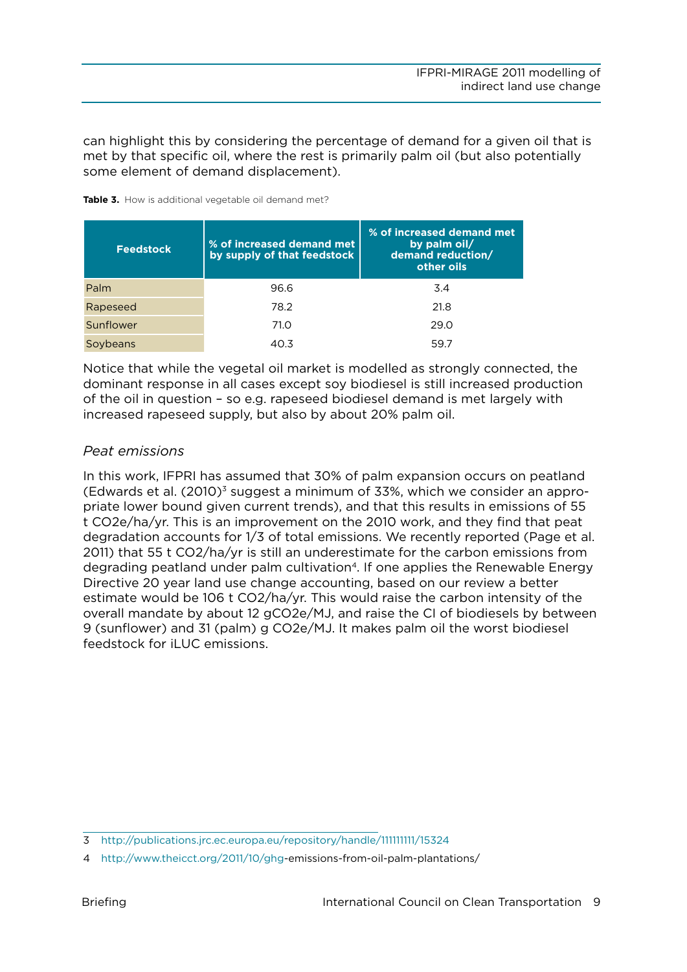<span id="page-8-0"></span>can highlight this by considering the percentage of demand for a given oil that is met by that specific oil, where the rest is primarily palm oil (but also potentially some element of demand displacement).

Table 3. How is additional vegetable oil demand met?

| <b>Feedstock</b> | % of increased demand met<br>by supply of that feedstock | % of increased demand met<br>by palm oil/<br>demand reduction/<br>other oils |
|------------------|----------------------------------------------------------|------------------------------------------------------------------------------|
| Palm             | 96.6                                                     | 3.4                                                                          |
| Rapeseed         | 78.2                                                     | 21.8                                                                         |
| Sunflower        | 71.0                                                     | 29.0                                                                         |
| Soybeans         | 40.3                                                     | 59.7                                                                         |

Notice that while the vegetal oil market is modelled as strongly connected, the dominant response in all cases except soy biodiesel is still increased production of the oil in question – so e.g. rapeseed biodiesel demand is met largely with increased rapeseed supply, but also by about 20% palm oil.

## *Peat emissions*

In this work, IFPRI has assumed that 30% of palm expansion occurs on peatland (Edwards et al.  $(2010)^3$  suggest a minimum of 33%, which we consider an appropriate lower bound given current trends), and that this results in emissions of 55 t CO2e/ha/yr. This is an improvement on the 2010 work, and they find that peat degradation accounts for 1/3 of total emissions. We recently reported (Page et al. 2011) that 55 t CO2/ha/yr is still an underestimate for the carbon emissions from degrading peatland under palm cultivation<sup>4</sup>. If one applies the Renewable Energy Directive 20 year land use change accounting, based on our review a better estimate would be 106 t CO2/ha/yr. This would raise the carbon intensity of the overall mandate by about 12 gCO2e/MJ, and raise the CI of biodiesels by between 9 (sunflower) and 31 (palm) g CO2e/MJ. It makes palm oil the worst biodiesel feedstock for iLUC emissions.

<sup>3</sup> <http://publications.jrc.ec.europa.eu/repository/handle/111111111/15324>

<sup>4</sup> <http://www.theicct.org/2011/10/ghg>-emissions-from-oil-palm-plantations/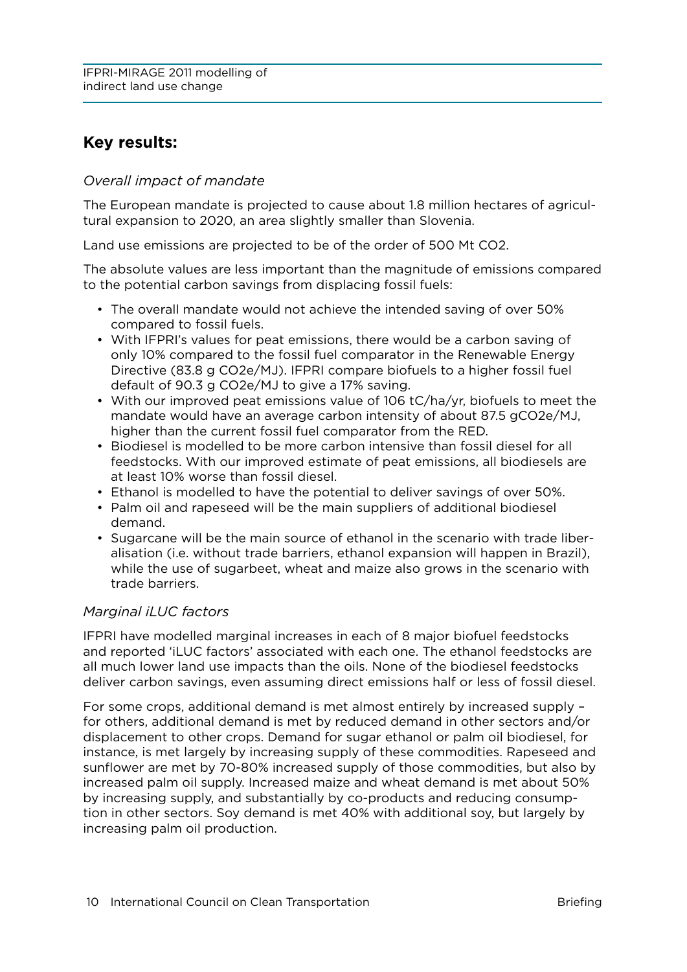# <span id="page-9-0"></span>**Key results:**

## *Overall impact of mandate*

The European mandate is projected to cause about 1.8 million hectares of agricultural expansion to 2020, an area slightly smaller than Slovenia.

Land use emissions are projected to be of the order of 500 Mt CO2.

The absolute values are less important than the magnitude of emissions compared to the potential carbon savings from displacing fossil fuels:

- • The overall mandate would not achieve the intended saving of over 50% compared to fossil fuels.
- • With IFPRI's values for peat emissions, there would be a carbon saving of only 10% compared to the fossil fuel comparator in the Renewable Energy Directive (83.8 g CO2e/MJ). IFPRI compare biofuels to a higher fossil fuel default of 90.3 g CO2e/MJ to give a 17% saving.
- • With our improved peat emissions value of 106 tC/ha/yr, biofuels to meet the mandate would have an average carbon intensity of about 87.5 gCO2e/MJ, higher than the current fossil fuel comparator from the RED.
- • Biodiesel is modelled to be more carbon intensive than fossil diesel for all feedstocks. With our improved estimate of peat emissions, all biodiesels are at least 10% worse than fossil diesel.
- • Ethanol is modelled to have the potential to deliver savings of over 50%.
- Palm oil and rapeseed will be the main suppliers of additional biodiesel demand.
- Sugarcane will be the main source of ethanol in the scenario with trade liberalisation (i.e. without trade barriers, ethanol expansion will happen in Brazil), while the use of sugarbeet, wheat and maize also grows in the scenario with trade barriers.

## *Marginal iLUC factors*

IFPRI have modelled marginal increases in each of 8 major biofuel feedstocks and reported 'iLUC factors' associated with each one. The ethanol feedstocks are all much lower land use impacts than the oils. None of the biodiesel feedstocks deliver carbon savings, even assuming direct emissions half or less of fossil diesel.

For some crops, additional demand is met almost entirely by increased supply – for others, additional demand is met by reduced demand in other sectors and/or displacement to other crops. Demand for sugar ethanol or palm oil biodiesel, for instance, is met largely by increasing supply of these commodities. Rapeseed and sunflower are met by 70-80% increased supply of those commodities, but also by increased palm oil supply. Increased maize and wheat demand is met about 50% by increasing supply, and substantially by co-products and reducing consumption in other sectors. Soy demand is met 40% with additional soy, but largely by increasing palm oil production.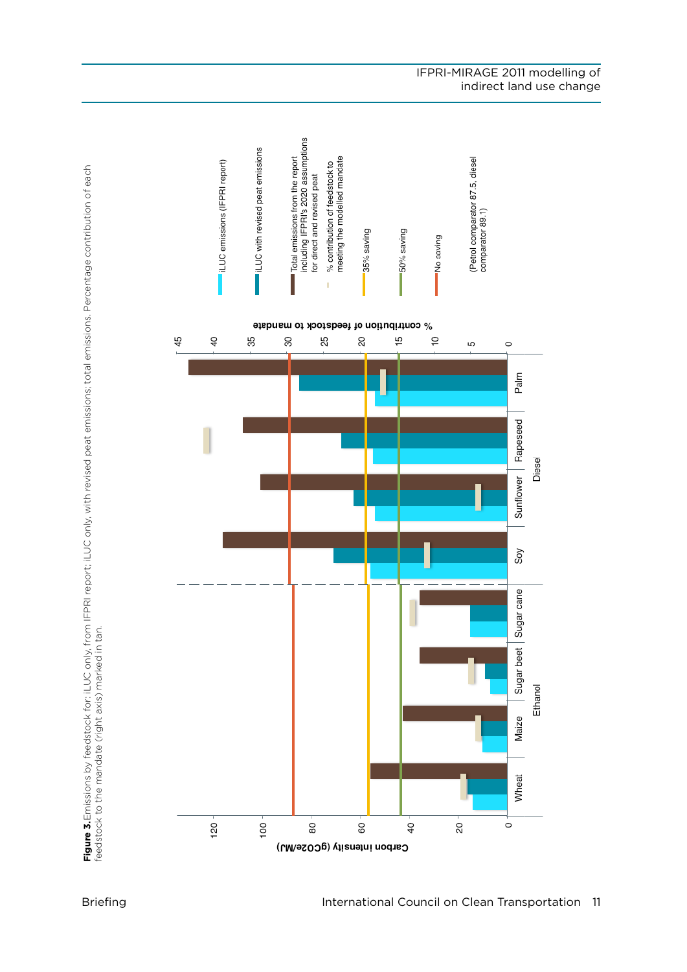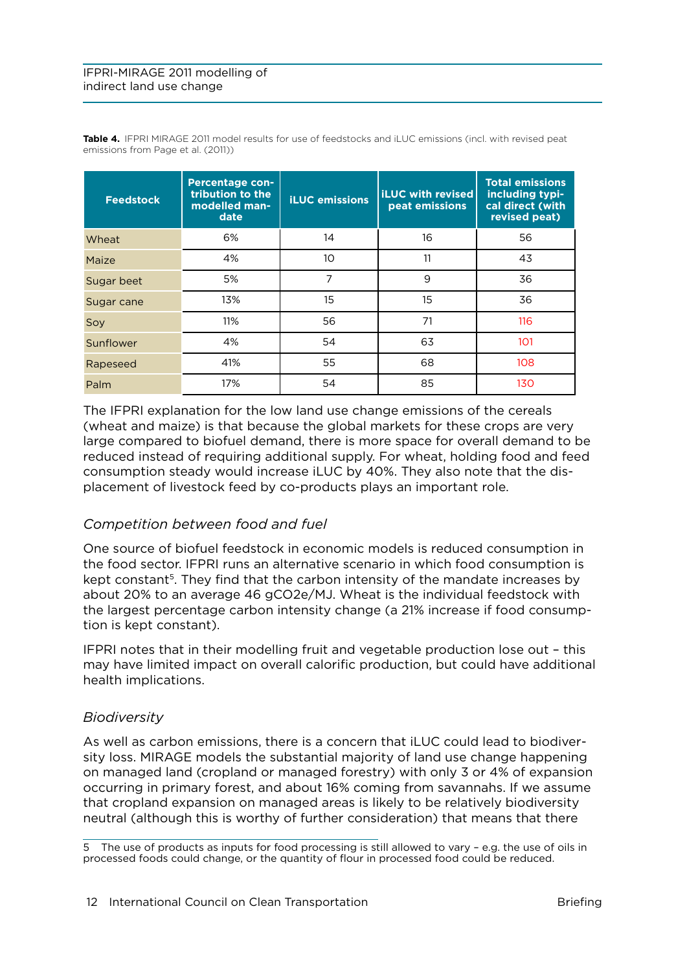#### <span id="page-11-0"></span>IFPRI-MIRAGE 2011 modelling of indirect land use change

| <b>Feedstock</b> | <b>Percentage con-</b><br>tribution to the<br>modelled man-<br>date | <b>iLUC</b> emissions | <b>liLUC with revised</b><br>peat emissions | <b>Total emissions</b><br>including typi-<br>cal direct (with<br>revised peat) |
|------------------|---------------------------------------------------------------------|-----------------------|---------------------------------------------|--------------------------------------------------------------------------------|
| Wheat            | 6%                                                                  | 14                    | 16                                          | 56                                                                             |
| Maize            | 4%                                                                  | 10                    | 11                                          | 43                                                                             |
| Sugar beet       | 5%                                                                  | 7                     | 9                                           | 36                                                                             |
| Sugar cane       | 13%                                                                 | 15                    | 15                                          | 36                                                                             |
| Soy              | 11%                                                                 | 56                    | 71                                          | 116                                                                            |
| Sunflower        | 4%                                                                  | 54                    | 63                                          | 101                                                                            |
| Rapeseed         | 41%                                                                 | 55                    | 68                                          | 108                                                                            |
| Palm             | 17%                                                                 | 54                    | 85                                          | 130                                                                            |

Table 4. IFPRI MIRAGE 2011 model results for use of feedstocks and iLUC emissions (incl. with revised peat emissions from Page et al. (2011))

The IFPRI explanation for the low land use change emissions of the cereals (wheat and maize) is that because the global markets for these crops are very large compared to biofuel demand, there is more space for overall demand to be reduced instead of requiring additional supply. For wheat, holding food and feed consumption steady would increase iLUC by 40%. They also note that the displacement of livestock feed by co-products plays an important role.

## *Competition between food and fuel*

One source of biofuel feedstock in economic models is reduced consumption in the food sector. IFPRI runs an alternative scenario in which food consumption is kept constant<sup>5</sup>. They find that the carbon intensity of the mandate increases by about 20% to an average 46 gCO2e/MJ. Wheat is the individual feedstock with the largest percentage carbon intensity change (a 21% increase if food consumption is kept constant).

IFPRI notes that in their modelling fruit and vegetable production lose out – this may have limited impact on overall calorific production, but could have additional health implications.

#### *Biodiversity*

As well as carbon emissions, there is a concern that iLUC could lead to biodiversity loss. MIRAGE models the substantial majority of land use change happening on managed land (cropland or managed forestry) with only 3 or 4% of expansion occurring in primary forest, and about 16% coming from savannahs. If we assume that cropland expansion on managed areas is likely to be relatively biodiversity neutral (although this is worthy of further consideration) that means that there

<sup>5</sup> The use of products as inputs for food processing is still allowed to vary – e.g. the use of oils in processed foods could change, or the quantity of flour in processed food could be reduced.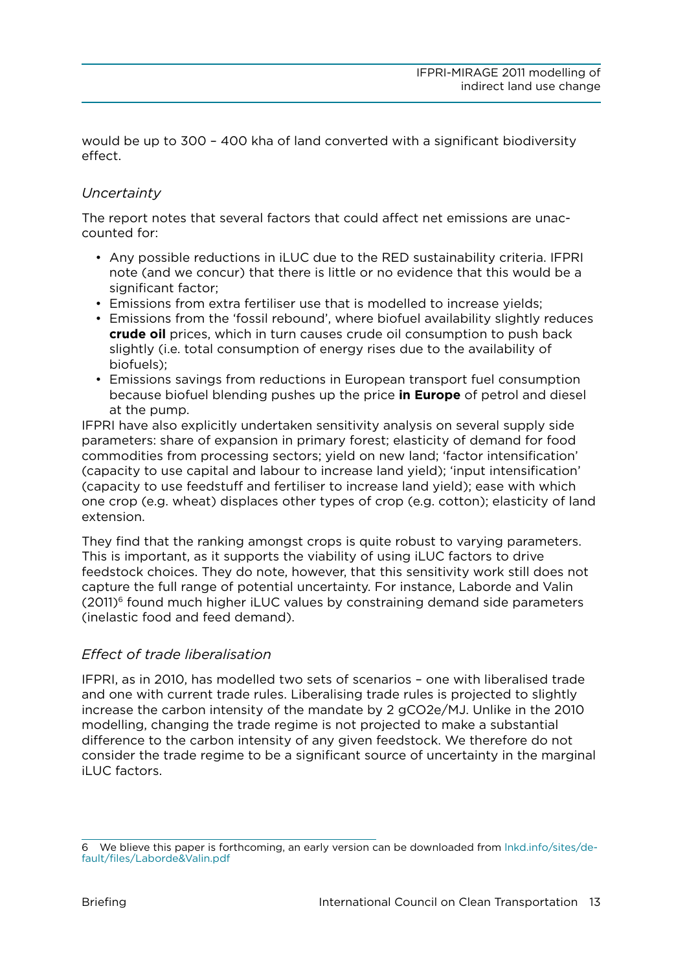<span id="page-12-0"></span>would be up to 300 – 400 kha of land converted with a significant biodiversity effect.

# *Uncertainty*

The report notes that several factors that could affect net emissions are unaccounted for:

- • Any possible reductions in iLUC due to the RED sustainability criteria. IFPRI note (and we concur) that there is little or no evidence that this would be a significant factor:
- Emissions from extra fertiliser use that is modelled to increase yields;
- • Emissions from the 'fossil rebound', where biofuel availability slightly reduces **crude oil** prices, which in turn causes crude oil consumption to push back slightly (i.e. total consumption of energy rises due to the availability of biofuels);
- Emissions savings from reductions in European transport fuel consumption because biofuel blending pushes up the price **in Europe** of petrol and diesel at the pump.

IFPRI have also explicitly undertaken sensitivity analysis on several supply side parameters: share of expansion in primary forest; elasticity of demand for food commodities from processing sectors; yield on new land; 'factor intensification' (capacity to use capital and labour to increase land yield); 'input intensification' (capacity to use feedstuff and fertiliser to increase land yield); ease with which one crop (e.g. wheat) displaces other types of crop (e.g. cotton); elasticity of land extension.

They find that the ranking amongst crops is quite robust to varying parameters. This is important, as it supports the viability of using iLUC factors to drive feedstock choices. They do note, however, that this sensitivity work still does not capture the full range of potential uncertainty. For instance, Laborde and Valin  $(2011)$ <sup>6</sup> found much higher iLUC values by constraining demand side parameters (inelastic food and feed demand).

#### *Effect of trade liberalisation*

IFPRI, as in 2010, has modelled two sets of scenarios – one with liberalised trade and one with current trade rules. Liberalising trade rules is projected to slightly increase the carbon intensity of the mandate by 2 gCO2e/MJ. Unlike in the 2010 modelling, changing the trade regime is not projected to make a substantial difference to the carbon intensity of any given feedstock. We therefore do not consider the trade regime to be a significant source of uncertainty in the marginal iLUC factors.

<sup>6</sup> We blieve this paper is forthcoming, an early version can be downloaded from [lnkd.info/sites/de](http://lnkd.info/sites/default/files/Laborde&Valin.pdf)[fault/files/Laborde&Valin.pdf](http://lnkd.info/sites/default/files/Laborde&Valin.pdf)